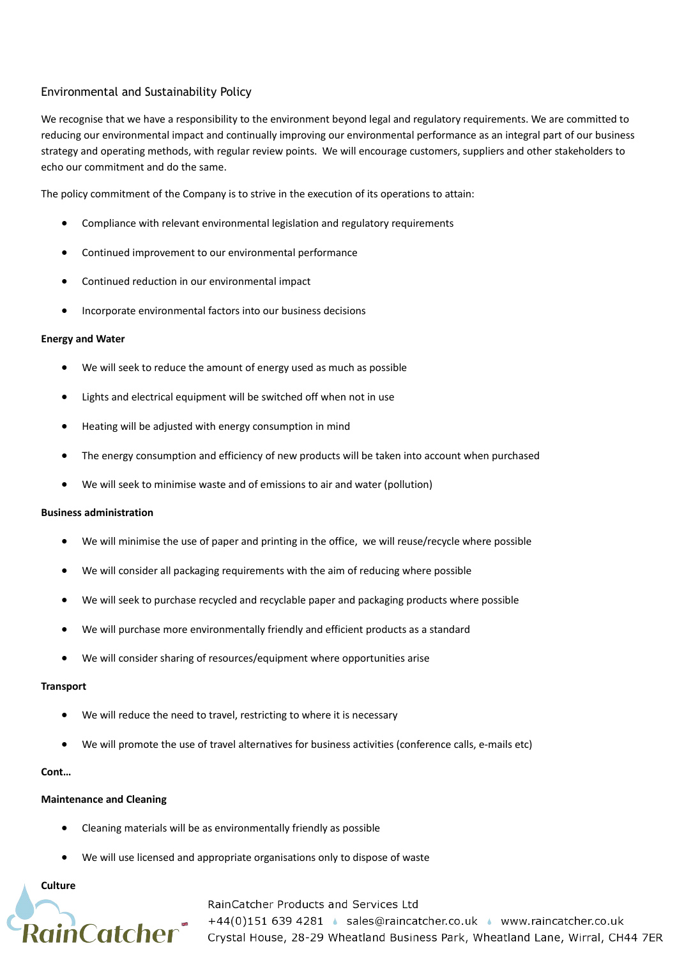# Environmental and Sustainability Policy

We recognise that we have a responsibility to the environment beyond legal and regulatory requirements. We are committed to reducing our environmental impact and continually improving our environmental performance as an integral part of our business strategy and operating methods, with regular review points. We will encourage customers, suppliers and other stakeholders to echo our commitment and do the same.

The policy commitment of the Company is to strive in the execution of its operations to attain:

- Compliance with relevant environmental legislation and regulatory requirements
- Continued improvement to our environmental performance
- Continued reduction in our environmental impact
- Incorporate environmental factors into our business decisions

### **Energy and Water**

- We will seek to reduce the amount of energy used as much as possible
- Lights and electrical equipment will be switched off when not in use
- Heating will be adjusted with energy consumption in mind
- The energy consumption and efficiency of new products will be taken into account when purchased
- We will seek to minimise waste and of emissions to air and water (pollution)

### **Business administration**

- We will minimise the use of paper and printing in the office, we will reuse/recycle where possible
- We will consider all packaging requirements with the aim of reducing where possible
- We will seek to purchase recycled and recyclable paper and packaging products where possible
- We will purchase more environmentally friendly and efficient products as a standard
- We will consider sharing of resources/equipment where opportunities arise

### **Transport**

- We will reduce the need to travel, restricting to where it is necessary
- We will promote the use of travel alternatives for business activities (conference calls, e-mails etc)

### **Cont…**

### **Maintenance and Cleaning**

- Cleaning materials will be as environmentally friendly as possible
- We will use licensed and appropriate organisations only to dispose of waste

**Culture**